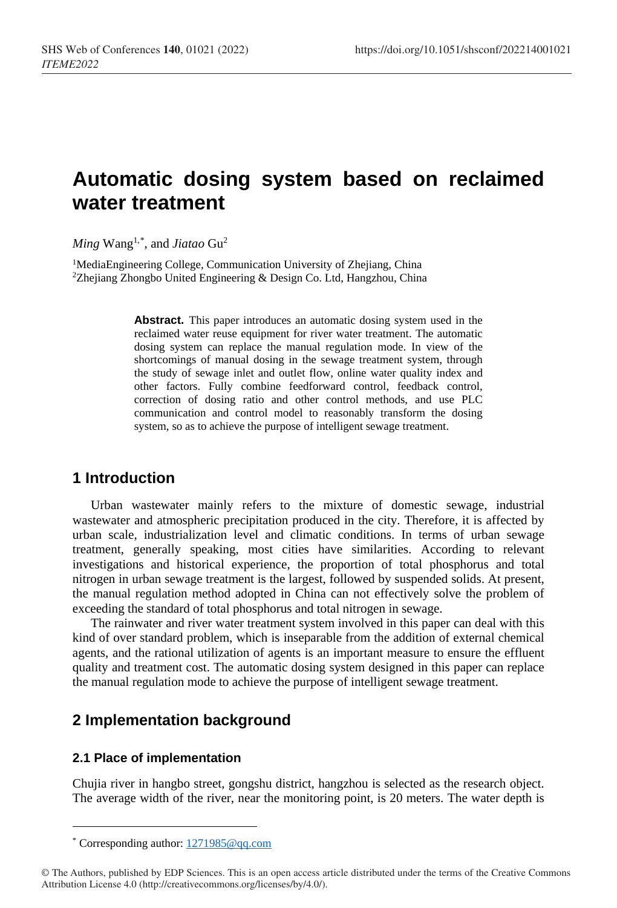# **Automatic dosing system based on reclaimed water treatment**

*Ming* Wang1,[\\*](#page-0-0) , and *Jiatao* Gu2

<sup>1</sup>MediaEngineering College, Communication University of Zhejiang, China  $2$ Zheijang Zhongbo United Engineering & Design Co. Ltd, Hangzhou, China

> **Abstract.** This paper introduces an automatic dosing system used in the reclaimed water reuse equipment for river water treatment. The automatic dosing system can replace the manual regulation mode. In view of the shortcomings of manual dosing in the sewage treatment system, through the study of sewage inlet and outlet flow, online water quality index and other factors. Fully combine feedforward control, feedback control, correction of dosing ratio and other control methods, and use PLC communication and control model to reasonably transform the dosing system, so as to achieve the purpose of intelligent sewage treatment.

# **1 Introduction**

Urban wastewater mainly refers to the mixture of domestic sewage, industrial wastewater and atmospheric precipitation produced in the city. Therefore, it is affected by urban scale, industrialization level and climatic conditions. In terms of urban sewage treatment, generally speaking, most cities have similarities. According to relevant investigations and historical experience, the proportion of total phosphorus and total nitrogen in urban sewage treatment is the largest, followed by suspended solids. At present, the manual regulation method adopted in China can not effectively solve the problem of exceeding the standard of total phosphorus and total nitrogen in sewage.

The rainwater and river water treatment system involved in this paper can deal with this kind of over standard problem, which is inseparable from the addition of external chemical agents, and the rational utilization of agents is an important measure to ensure the effluent quality and treatment cost. The automatic dosing system designed in this paper can replace the manual regulation mode to achieve the purpose of intelligent sewage treatment.

# **2 Implementation background**

# **2.1 Place of implementation**

l

Chujia river in hangbo street, gongshu district, hangzhou is selected as the research object. The average width of the river, near the monitoring point, is 20 meters. The water depth is

<span id="page-0-0"></span><sup>\*</sup> Corresponding author[: 1271985@qq.com](mailto:1271985@qq.com)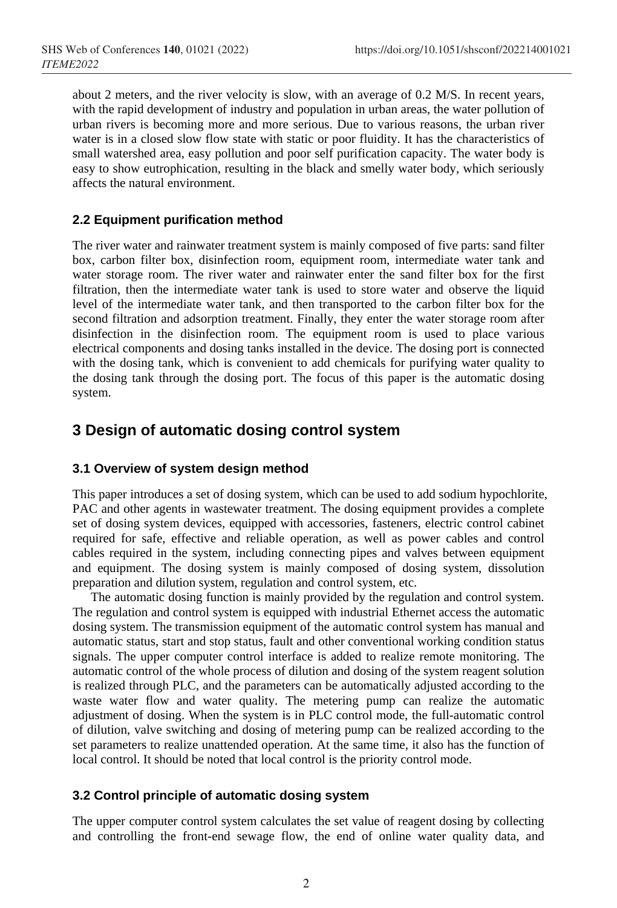about 2 meters, and the river velocity is slow, with an average of 0.2 M/S. In recent years, with the rapid development of industry and population in urban areas, the water pollution of urban rivers is becoming more and more serious. Due to various reasons, the urban river water is in a closed slow flow state with static or poor fluidity. It has the characteristics of small watershed area, easy pollution and poor self purification capacity. The water body is easy to show eutrophication, resulting in the black and smelly water body, which seriously affects the natural environment.

# **2.2 Equipment purification method**

The river water and rainwater treatment system is mainly composed of five parts: sand filter box, carbon filter box, disinfection room, equipment room, intermediate water tank and water storage room. The river water and rainwater enter the sand filter box for the first filtration, then the intermediate water tank is used to store water and observe the liquid level of the intermediate water tank, and then transported to the carbon filter box for the second filtration and adsorption treatment. Finally, they enter the water storage room after disinfection in the disinfection room. The equipment room is used to place various electrical components and dosing tanks installed in the device. The dosing port is connected with the dosing tank, which is convenient to add chemicals for purifying water quality to the dosing tank through the dosing port. The focus of this paper is the automatic dosing system.

# **3 Design of automatic dosing control system**

# **3.1 Overview of system design method**

This paper introduces a set of dosing system, which can be used to add sodium hypochlorite, PAC and other agents in wastewater treatment. The dosing equipment provides a complete set of dosing system devices, equipped with accessories, fasteners, electric control cabinet required for safe, effective and reliable operation, as well as power cables and control cables required in the system, including connecting pipes and valves between equipment and equipment. The dosing system is mainly composed of dosing system, dissolution preparation and dilution system, regulation and control system, etc.

The automatic dosing function is mainly provided by the regulation and control system. The regulation and control system is equipped with industrial Ethernet access the automatic dosing system. The transmission equipment of the automatic control system has manual and automatic status, start and stop status, fault and other conventional working condition status signals. The upper computer control interface is added to realize remote monitoring. The automatic control of the whole process of dilution and dosing of the system reagent solution is realized through PLC, and the parameters can be automatically adjusted according to the waste water flow and water quality. The metering pump can realize the automatic adjustment of dosing. When the system is in PLC control mode, the full-automatic control of dilution, valve switching and dosing of metering pump can be realized according to the set parameters to realize unattended operation. At the same time, it also has the function of local control. It should be noted that local control is the priority control mode.

# **3.2 Control principle of automatic dosing system**

The upper computer control system calculates the set value of reagent dosing by collecting and controlling the front-end sewage flow, the end of online water quality data, and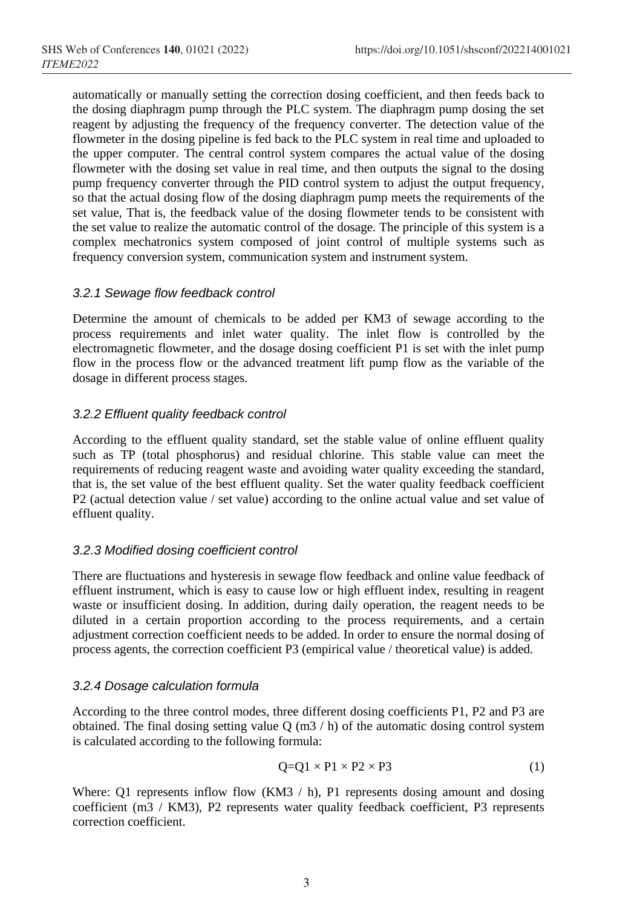automatically or manually setting the correction dosing coefficient, and then feeds back to the dosing diaphragm pump through the PLC system. The diaphragm pump dosing the set reagent by adjusting the frequency of the frequency converter. The detection value of the flowmeter in the dosing pipeline is fed back to the PLC system in real time and uploaded to the upper computer. The central control system compares the actual value of the dosing flowmeter with the dosing set value in real time, and then outputs the signal to the dosing pump frequency converter through the PID control system to adjust the output frequency, so that the actual dosing flow of the dosing diaphragm pump meets the requirements of the set value, That is, the feedback value of the dosing flowmeter tends to be consistent with the set value to realize the automatic control of the dosage. The principle of this system is a complex mechatronics system composed of joint control of multiple systems such as frequency conversion system, communication system and instrument system.

# *3.2.1 Sewage flow feedback control*

Determine the amount of chemicals to be added per KM3 of sewage according to the process requirements and inlet water quality. The inlet flow is controlled by the electromagnetic flowmeter, and the dosage dosing coefficient P1 is set with the inlet pump flow in the process flow or the advanced treatment lift pump flow as the variable of the dosage in different process stages.

# *3.2.2 Effluent quality feedback control*

According to the effluent quality standard, set the stable value of online effluent quality such as TP (total phosphorus) and residual chlorine. This stable value can meet the requirements of reducing reagent waste and avoiding water quality exceeding the standard, that is, the set value of the best effluent quality. Set the water quality feedback coefficient P2 (actual detection value / set value) according to the online actual value and set value of effluent quality.

# *3.2.3 Modified dosing coefficient control*

There are fluctuations and hysteresis in sewage flow feedback and online value feedback of effluent instrument, which is easy to cause low or high effluent index, resulting in reagent waste or insufficient dosing. In addition, during daily operation, the reagent needs to be diluted in a certain proportion according to the process requirements, and a certain adjustment correction coefficient needs to be added. In order to ensure the normal dosing of process agents, the correction coefficient P3 (empirical value / theoretical value) is added.

# *3.2.4 Dosage calculation formula*

According to the three control modes, three different dosing coefficients P1, P2 and P3 are obtained. The final dosing setting value  $Q$  (m3  $/$  h) of the automatic dosing control system is calculated according to the following formula:

$$
Q=Q1 \times P1 \times P2 \times P3 \tag{1}
$$

Where: Q1 represents inflow flow (KM3 / h), P1 represents dosing amount and dosing coefficient (m3 / KM3), P2 represents water quality feedback coefficient, P3 represents correction coefficient.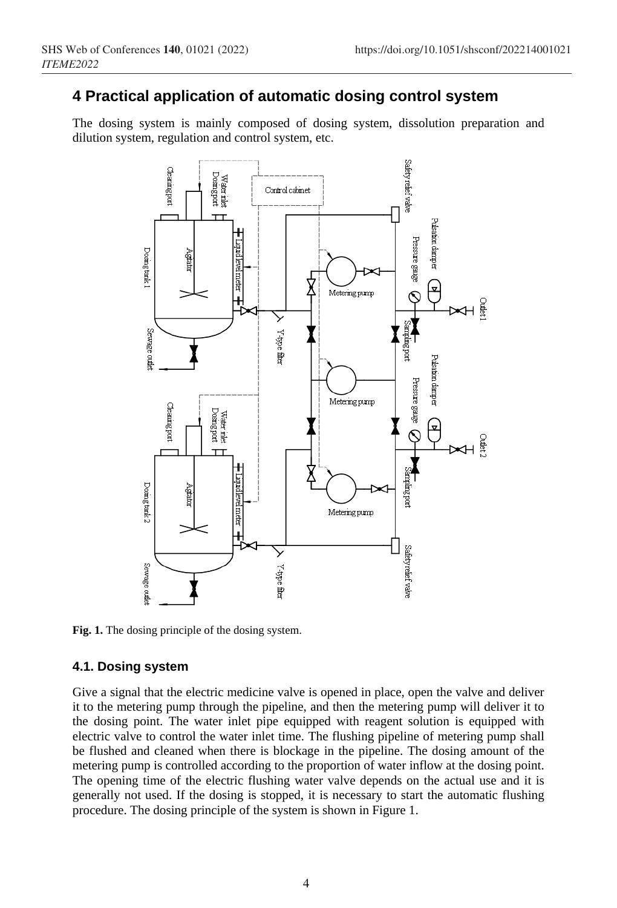# **4 Practical application of automatic dosing control system**

The dosing system is mainly composed of dosing system, dissolution preparation and dilution system, regulation and control system, etc.



**Fig. 1.** The dosing principle of the dosing system.

# **4.1. Dosing system**

Give a signal that the electric medicine valve is opened in place, open the valve and deliver it to the metering pump through the pipeline, and then the metering pump will deliver it to the dosing point. The water inlet pipe equipped with reagent solution is equipped with electric valve to control the water inlet time. The flushing pipeline of metering pump shall be flushed and cleaned when there is blockage in the pipeline. The dosing amount of the metering pump is controlled according to the proportion of water inflow at the dosing point. The opening time of the electric flushing water valve depends on the actual use and it is generally not used. If the dosing is stopped, it is necessary to start the automatic flushing procedure. The dosing principle of the system is shown in Figure 1.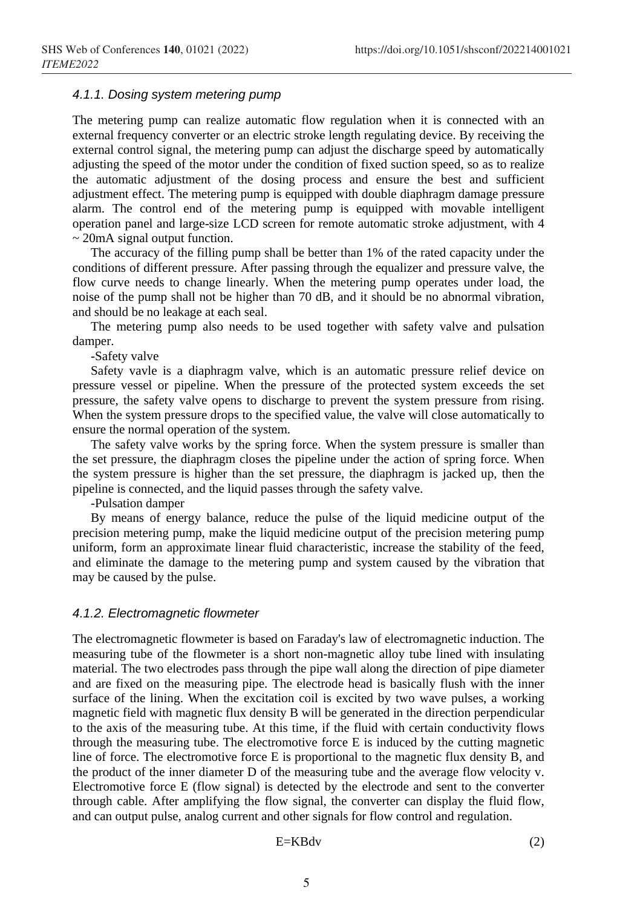#### *4.1.1. Dosing system metering pump*

The metering pump can realize automatic flow regulation when it is connected with an external frequency converter or an electric stroke length regulating device. By receiving the external control signal, the metering pump can adjust the discharge speed by automatically adjusting the speed of the motor under the condition of fixed suction speed, so as to realize the automatic adjustment of the dosing process and ensure the best and sufficient adjustment effect. The metering pump is equipped with double diaphragm damage pressure alarm. The control end of the metering pump is equipped with movable intelligent operation panel and large-size LCD screen for remote automatic stroke adjustment, with 4  $\sim$  20mA signal output function.

The accuracy of the filling pump shall be better than 1% of the rated capacity under the conditions of different pressure. After passing through the equalizer and pressure valve, the flow curve needs to change linearly. When the metering pump operates under load, the noise of the pump shall not be higher than 70 dB, and it should be no abnormal vibration, and should be no leakage at each seal.

The metering pump also needs to be used together with safety valve and pulsation damper.

-Safety valve

Safety vavle is a diaphragm valve, which is an automatic pressure relief device on pressure vessel or pipeline. When the pressure of the protected system exceeds the set pressure, the safety valve opens to discharge to prevent the system pressure from rising. When the system pressure drops to the specified value, the valve will close automatically to ensure the normal operation of the system.

The safety valve works by the spring force. When the system pressure is smaller than the set pressure, the diaphragm closes the pipeline under the action of spring force. When the system pressure is higher than the set pressure, the diaphragm is jacked up, then the pipeline is connected, and the liquid passes through the safety valve.

-Pulsation damper

By means of energy balance, reduce the pulse of the liquid medicine output of the precision metering pump, make the liquid medicine output of the precision metering pump uniform, form an approximate linear fluid characteristic, increase the stability of the feed, and eliminate the damage to the metering pump and system caused by the vibration that may be caused by the pulse.

#### *4.1.2. Electromagnetic flowmeter*

The electromagnetic flowmeter is based on Faraday's law of electromagnetic induction. The measuring tube of the flowmeter is a short non-magnetic alloy tube lined with insulating material. The two electrodes pass through the pipe wall along the direction of pipe diameter and are fixed on the measuring pipe. The electrode head is basically flush with the inner surface of the lining. When the excitation coil is excited by two wave pulses, a working magnetic field with magnetic flux density B will be generated in the direction perpendicular to the axis of the measuring tube. At this time, if the fluid with certain conductivity flows through the measuring tube. The electromotive force E is induced by the cutting magnetic line of force. The electromotive force E is proportional to the magnetic flux density B, and the product of the inner diameter D of the measuring tube and the average flow velocity v. Electromotive force E (flow signal) is detected by the electrode and sent to the converter through cable. After amplifying the flow signal, the converter can display the fluid flow, and can output pulse, analog current and other signals for flow control and regulation.

$$
E=KBdv
$$
 (2)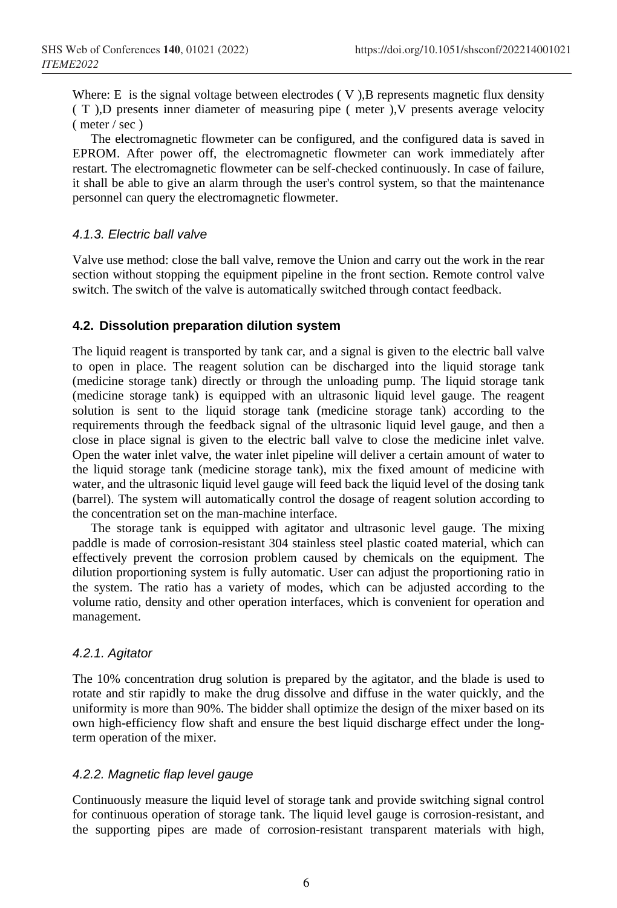Where: E is the signal voltage between electrodes (V), B represents magnetic flux density ( T ),D presents inner diameter of measuring pipe ( meter ),V presents average velocity ( meter / sec )

The electromagnetic flowmeter can be configured, and the configured data is saved in EPROM. After power off, the electromagnetic flowmeter can work immediately after restart. The electromagnetic flowmeter can be self-checked continuously. In case of failure, it shall be able to give an alarm through the user's control system, so that the maintenance personnel can query the electromagnetic flowmeter.

# *4.1.3. Electric ball valve*

Valve use method: close the ball valve, remove the Union and carry out the work in the rear section without stopping the equipment pipeline in the front section. Remote control valve switch. The switch of the valve is automatically switched through contact feedback.

# **4.2. Dissolution preparation dilution system**

The liquid reagent is transported by tank car, and a signal is given to the electric ball valve to open in place. The reagent solution can be discharged into the liquid storage tank (medicine storage tank) directly or through the unloading pump. The liquid storage tank (medicine storage tank) is equipped with an ultrasonic liquid level gauge. The reagent solution is sent to the liquid storage tank (medicine storage tank) according to the requirements through the feedback signal of the ultrasonic liquid level gauge, and then a close in place signal is given to the electric ball valve to close the medicine inlet valve. Open the water inlet valve, the water inlet pipeline will deliver a certain amount of water to the liquid storage tank (medicine storage tank), mix the fixed amount of medicine with water, and the ultrasonic liquid level gauge will feed back the liquid level of the dosing tank (barrel). The system will automatically control the dosage of reagent solution according to the concentration set on the man-machine interface.

The storage tank is equipped with agitator and ultrasonic level gauge. The mixing paddle is made of corrosion-resistant 304 stainless steel plastic coated material, which can effectively prevent the corrosion problem caused by chemicals on the equipment. The dilution proportioning system is fully automatic. User can adjust the proportioning ratio in the system. The ratio has a variety of modes, which can be adjusted according to the volume ratio, density and other operation interfaces, which is convenient for operation and management.

# *4.2.1. Agitator*

The 10% concentration drug solution is prepared by the agitator, and the blade is used to rotate and stir rapidly to make the drug dissolve and diffuse in the water quickly, and the uniformity is more than 90%. The bidder shall optimize the design of the mixer based on its own high-efficiency flow shaft and ensure the best liquid discharge effect under the longterm operation of the mixer.

# *4.2.2. Magnetic flap level gauge*

Continuously measure the liquid level of storage tank and provide switching signal control for continuous operation of storage tank. The liquid level gauge is corrosion-resistant, and the supporting pipes are made of corrosion-resistant transparent materials with high,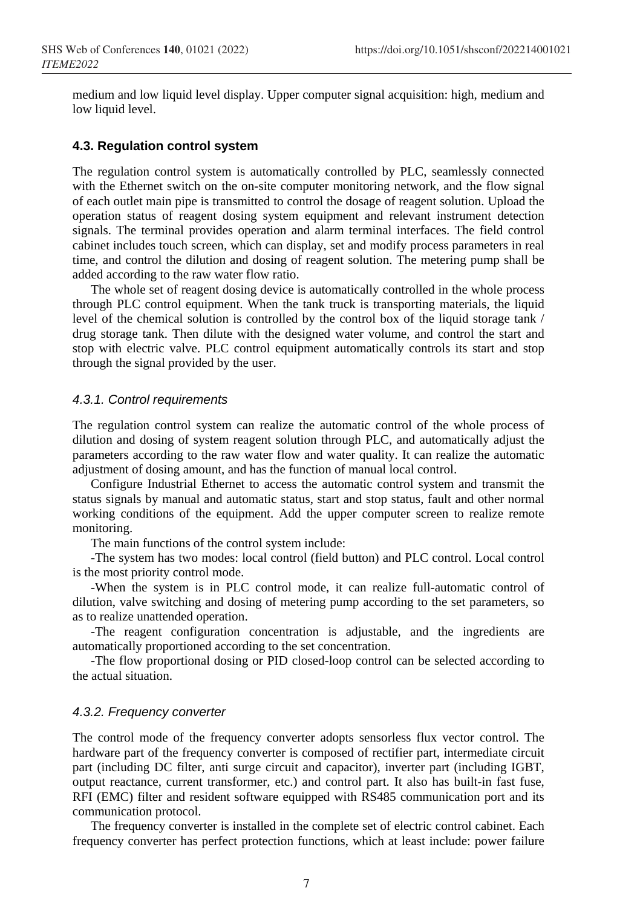medium and low liquid level display. Upper computer signal acquisition: high, medium and low liquid level.

# **4.3. Regulation control system**

The regulation control system is automatically controlled by PLC, seamlessly connected with the Ethernet switch on the on-site computer monitoring network, and the flow signal of each outlet main pipe is transmitted to control the dosage of reagent solution. Upload the operation status of reagent dosing system equipment and relevant instrument detection signals. The terminal provides operation and alarm terminal interfaces. The field control cabinet includes touch screen, which can display, set and modify process parameters in real time, and control the dilution and dosing of reagent solution. The metering pump shall be added according to the raw water flow ratio.

The whole set of reagent dosing device is automatically controlled in the whole process through PLC control equipment. When the tank truck is transporting materials, the liquid level of the chemical solution is controlled by the control box of the liquid storage tank / drug storage tank. Then dilute with the designed water volume, and control the start and stop with electric valve. PLC control equipment automatically controls its start and stop through the signal provided by the user.

### *4.3.1. Control requirements*

The regulation control system can realize the automatic control of the whole process of dilution and dosing of system reagent solution through PLC, and automatically adjust the parameters according to the raw water flow and water quality. It can realize the automatic adjustment of dosing amount, and has the function of manual local control.

Configure Industrial Ethernet to access the automatic control system and transmit the status signals by manual and automatic status, start and stop status, fault and other normal working conditions of the equipment. Add the upper computer screen to realize remote monitoring.

The main functions of the control system include:

-The system has two modes: local control (field button) and PLC control. Local control is the most priority control mode.

-When the system is in PLC control mode, it can realize full-automatic control of dilution, valve switching and dosing of metering pump according to the set parameters, so as to realize unattended operation.

-The reagent configuration concentration is adjustable, and the ingredients are automatically proportioned according to the set concentration.

-The flow proportional dosing or PID closed-loop control can be selected according to the actual situation.

#### *4.3.2. Frequency converter*

The control mode of the frequency converter adopts sensorless flux vector control. The hardware part of the frequency converter is composed of rectifier part, intermediate circuit part (including DC filter, anti surge circuit and capacitor), inverter part (including IGBT, output reactance, current transformer, etc.) and control part. It also has built-in fast fuse, RFI (EMC) filter and resident software equipped with RS485 communication port and its communication protocol.

The frequency converter is installed in the complete set of electric control cabinet. Each frequency converter has perfect protection functions, which at least include: power failure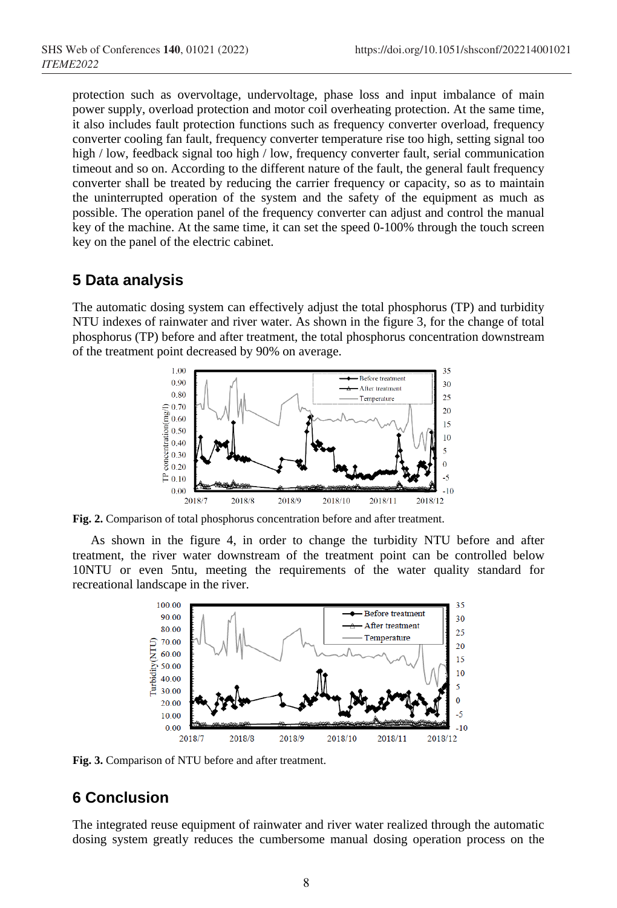protection such as overvoltage, undervoltage, phase loss and input imbalance of main power supply, overload protection and motor coil overheating protection. At the same time, it also includes fault protection functions such as frequency converter overload, frequency converter cooling fan fault, frequency converter temperature rise too high, setting signal too high / low, feedback signal too high / low, frequency converter fault, serial communication timeout and so on. According to the different nature of the fault, the general fault frequency converter shall be treated by reducing the carrier frequency or capacity, so as to maintain the uninterrupted operation of the system and the safety of the equipment as much as possible. The operation panel of the frequency converter can adjust and control the manual key of the machine. At the same time, it can set the speed 0-100% through the touch screen key on the panel of the electric cabinet.

# **5 Data analysis**

The automatic dosing system can effectively adjust the total phosphorus (TP) and turbidity NTU indexes of rainwater and river water. As shown in the figure 3, for the change of total phosphorus (TP) before and after treatment, the total phosphorus concentration downstream of the treatment point decreased by 90% on average.



**Fig. 2.** Comparison of total phosphorus concentration before and after treatment.

As shown in the figure 4, in order to change the turbidity NTU before and after treatment, the river water downstream of the treatment point can be controlled below 10NTU or even 5ntu, meeting the requirements of the water quality standard for recreational landscape in the river.



**Fig. 3.** Comparison of NTU before and after treatment.

# **6 Conclusion**

The integrated reuse equipment of rainwater and river water realized through the automatic dosing system greatly reduces the cumbersome manual dosing operation process on the